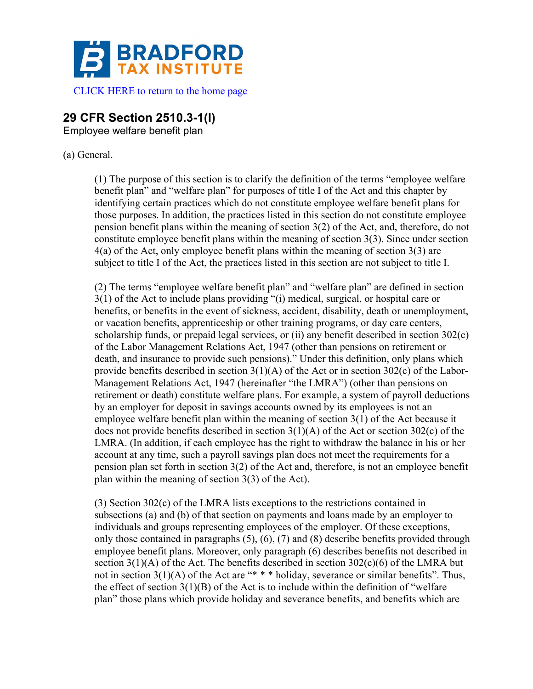

## **29 CFR Section 2510.3-1(l)**

Employee welfare benefit plan

## (a) General.

(1) The purpose of this section is to clarify the definition of the terms "employee welfare benefit plan" and "welfare plan" for purposes of title I of the Act and this chapter by identifying certain practices which do not constitute employee welfare benefit plans for those purposes. In addition, the practices listed in this section do not constitute employee pension benefit plans within the meaning of section 3(2) of the Act, and, therefore, do not constitute employee benefit plans within the meaning of section 3(3). Since under section 4(a) of the Act, only employee benefit plans within the meaning of section 3(3) are subject to title I of the Act, the practices listed in this section are not subject to title I.

(2) The terms "employee welfare benefit plan" and "welfare plan" are defined in section 3(1) of the Act to include plans providing "(i) medical, surgical, or hospital care or benefits, or benefits in the event of sickness, accident, disability, death or unemployment, or vacation benefits, apprenticeship or other training programs, or day care centers, scholarship funds, or prepaid legal services, or (ii) any benefit described in section 302(c) of the Labor Management Relations Act, 1947 (other than pensions on retirement or death, and insurance to provide such pensions)." Under this definition, only plans which provide benefits described in section 3(1)(A) of the Act or in section 302(c) of the Labor-Management Relations Act, 1947 (hereinafter "the LMRA") (other than pensions on retirement or death) constitute welfare plans. For example, a system of payroll deductions by an employer for deposit in savings accounts owned by its employees is not an employee welfare benefit plan within the meaning of section 3(1) of the Act because it does not provide benefits described in section  $3(1)(A)$  of the Act or section  $302(c)$  of the LMRA. (In addition, if each employee has the right to withdraw the balance in his or her account at any time, such a payroll savings plan does not meet the requirements for a pension plan set forth in section 3(2) of the Act and, therefore, is not an employee benefit plan within the meaning of section 3(3) of the Act).

(3) Section 302(c) of the LMRA lists exceptions to the restrictions contained in subsections (a) and (b) of that section on payments and loans made by an employer to individuals and groups representing employees of the employer. Of these exceptions, only those contained in paragraphs (5), (6), (7) and (8) describe benefits provided through employee benefit plans. Moreover, only paragraph (6) describes benefits not described in section  $3(1)(A)$  of the Act. The benefits described in section  $302(c)(6)$  of the LMRA but not in section  $3(1)(A)$  of the Act are "\*\*\* \* holiday, severance or similar benefits". Thus, the effect of section  $3(1)(B)$  of the Act is to include within the definition of "welfare" plan" those plans which provide holiday and severance benefits, and benefits which are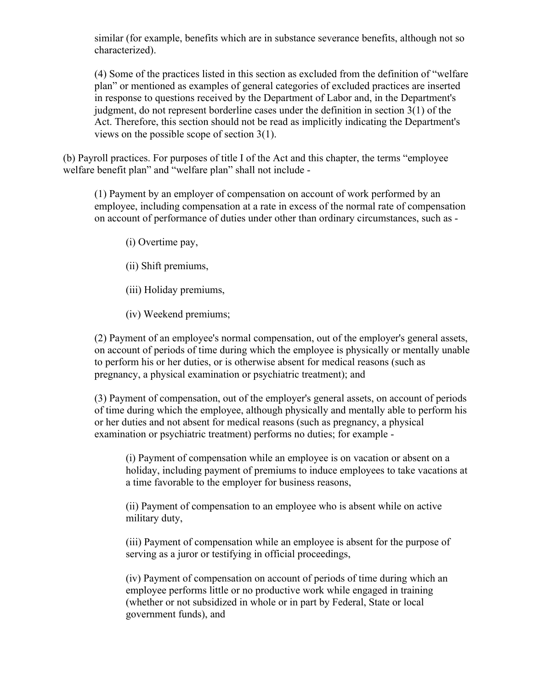similar (for example, benefits which are in substance severance benefits, although not so characterized).

(4) Some of the practices listed in this section as excluded from the definition of "welfare plan" or mentioned as examples of general categories of excluded practices are inserted in response to questions received by the Department of Labor and, in the Department's judgment, do not represent borderline cases under the definition in section 3(1) of the Act. Therefore, this section should not be read as implicitly indicating the Department's views on the possible scope of section 3(1).

(b) Payroll practices. For purposes of title I of the Act and this chapter, the terms "employee welfare benefit plan" and "welfare plan" shall not include -

(1) Payment by an employer of compensation on account of work performed by an employee, including compensation at a rate in excess of the normal rate of compensation on account of performance of duties under other than ordinary circumstances, such as -

(i) Overtime pay,

(ii) Shift premiums,

(iii) Holiday premiums,

(iv) Weekend premiums;

(2) Payment of an employee's normal compensation, out of the employer's general assets, on account of periods of time during which the employee is physically or mentally unable to perform his or her duties, or is otherwise absent for medical reasons (such as pregnancy, a physical examination or psychiatric treatment); and

(3) Payment of compensation, out of the employer's general assets, on account of periods of time during which the employee, although physically and mentally able to perform his or her duties and not absent for medical reasons (such as pregnancy, a physical examination or psychiatric treatment) performs no duties; for example -

(i) Payment of compensation while an employee is on vacation or absent on a holiday, including payment of premiums to induce employees to take vacations at a time favorable to the employer for business reasons,

(ii) Payment of compensation to an employee who is absent while on active military duty,

(iii) Payment of compensation while an employee is absent for the purpose of serving as a juror or testifying in official proceedings,

(iv) Payment of compensation on account of periods of time during which an employee performs little or no productive work while engaged in training (whether or not subsidized in whole or in part by Federal, State or local government funds), and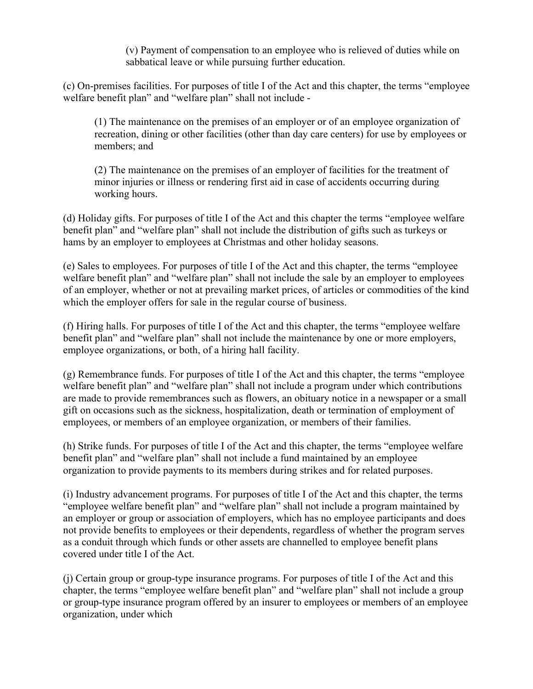(v) Payment of compensation to an employee who is relieved of duties while on sabbatical leave or while pursuing further education.

(c) On-premises facilities. For purposes of title I of the Act and this chapter, the terms "employee welfare benefit plan" and "welfare plan" shall not include -

(1) The maintenance on the premises of an employer or of an employee organization of recreation, dining or other facilities (other than day care centers) for use by employees or members; and

(2) The maintenance on the premises of an employer of facilities for the treatment of minor injuries or illness or rendering first aid in case of accidents occurring during working hours.

(d) Holiday gifts. For purposes of title I of the Act and this chapter the terms "employee welfare benefit plan" and "welfare plan" shall not include the distribution of gifts such as turkeys or hams by an employer to employees at Christmas and other holiday seasons.

(e) Sales to employees. For purposes of title I of the Act and this chapter, the terms "employee welfare benefit plan" and "welfare plan" shall not include the sale by an employer to employees of an employer, whether or not at prevailing market prices, of articles or commodities of the kind which the employer offers for sale in the regular course of business.

(f) Hiring halls. For purposes of title I of the Act and this chapter, the terms "employee welfare benefit plan" and "welfare plan" shall not include the maintenance by one or more employers, employee organizations, or both, of a hiring hall facility.

(g) Remembrance funds. For purposes of title I of the Act and this chapter, the terms "employee welfare benefit plan" and "welfare plan" shall not include a program under which contributions are made to provide remembrances such as flowers, an obituary notice in a newspaper or a small gift on occasions such as the sickness, hospitalization, death or termination of employment of employees, or members of an employee organization, or members of their families.

(h) Strike funds. For purposes of title I of the Act and this chapter, the terms "employee welfare benefit plan" and "welfare plan" shall not include a fund maintained by an employee organization to provide payments to its members during strikes and for related purposes.

(i) Industry advancement programs. For purposes of title I of the Act and this chapter, the terms "employee welfare benefit plan" and "welfare plan" shall not include a program maintained by an employer or group or association of employers, which has no employee participants and does not provide benefits to employees or their dependents, regardless of whether the program serves as a conduit through which funds or other assets are channelled to employee benefit plans covered under title I of the Act.

(j) Certain group or group-type insurance programs. For purposes of title I of the Act and this chapter, the terms "employee welfare benefit plan" and "welfare plan" shall not include a group or group-type insurance program offered by an insurer to employees or members of an employee organization, under which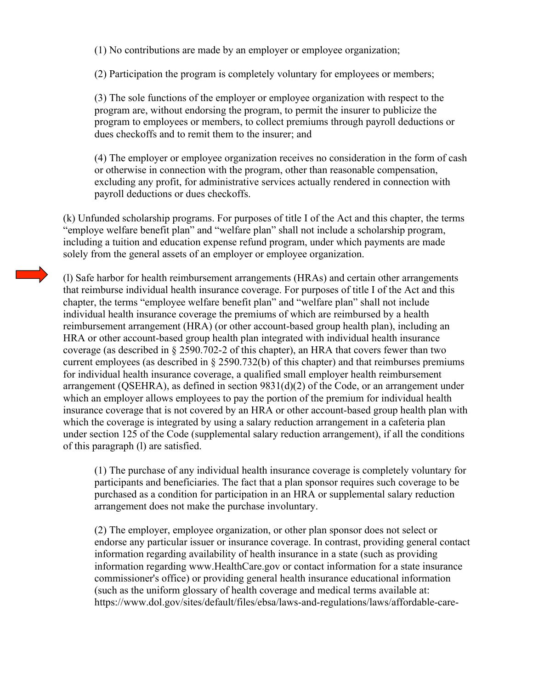(1) No contributions are made by an employer or employee organization;

(2) Participation the program is completely voluntary for employees or members;

(3) The sole functions of the employer or employee organization with respect to the program are, without endorsing the program, to permit the insurer to publicize the program to employees or members, to collect premiums through payroll deductions or dues checkoffs and to remit them to the insurer; and

(4) The employer or employee organization receives no consideration in the form of cash or otherwise in connection with the program, other than reasonable compensation, excluding any profit, for administrative services actually rendered in connection with payroll deductions or dues checkoffs.

(k) Unfunded scholarship programs. For purposes of title I of the Act and this chapter, the terms "employe welfare benefit plan" and "welfare plan" shall not include a scholarship program, including a tuition and education expense refund program, under which payments are made solely from the general assets of an employer or employee organization.

(l) Safe harbor for health reimbursement arrangements (HRAs) and certain other arrangements that reimburse individual health insurance coverage. For purposes of title I of the Act and this chapter, the terms "employee welfare benefit plan" and "welfare plan" shall not include individual health insurance coverage the premiums of which are reimbursed by a health reimbursement arrangement (HRA) (or other account-based group health plan), including an HRA or other account-based group health plan integrated with individual health insurance coverage (as described in § 2590.702-2 of this chapter), an HRA that covers fewer than two current employees (as described in § 2590.732(b) of this chapter) and that reimburses premiums for individual health insurance coverage, a qualified small employer health reimbursement arrangement (QSEHRA), as defined in section 9831(d)(2) of the Code, or an arrangement under which an employer allows employees to pay the portion of the premium for individual health insurance coverage that is not covered by an HRA or other account-based group health plan with which the coverage is integrated by using a salary reduction arrangement in a cafeteria plan under section 125 of the Code (supplemental salary reduction arrangement), if all the conditions of this paragraph (l) are satisfied.

(1) The purchase of any individual health insurance coverage is completely voluntary for participants and beneficiaries. The fact that a plan sponsor requires such coverage to be purchased as a condition for participation in an HRA or supplemental salary reduction arrangement does not make the purchase involuntary.

(2) The employer, employee organization, or other plan sponsor does not select or endorse any particular issuer or insurance coverage. In contrast, providing general contact information regarding availability of health insurance in a state (such as providing information regarding www.HealthCare.gov or contact information for a state insurance commissioner's office) or providing general health insurance educational information (such as the uniform glossary of health coverage and medical terms available at: https://www.dol.gov/sites/default/files/ebsa/laws-and-regulations/laws/affordable-care